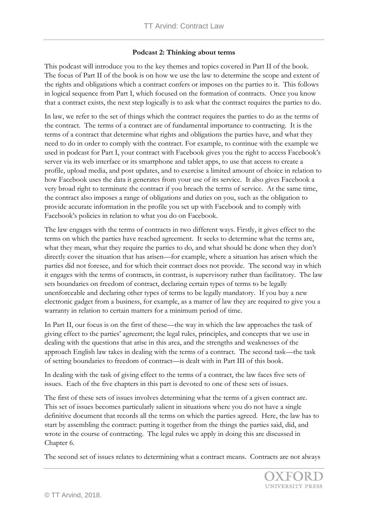## **Podcast 2: Thinking about terms**

This podcast will introduce you to the key themes and topics covered in Part II of the book. The focus of Part II of the book is on how we use the law to determine the scope and extent of the rights and obligations which a contract confers or imposes on the parties to it. This follows in logical sequence from Part I, which focused on the formation of contracts. Once you know that a contract exists, the next step logically is to ask what the contract requires the parties to do.

In law, we refer to the set of things which the contract requires the parties to do as the terms of the contract. The terms of a contract are of fundamental importance to contracting. It is the terms of a contract that determine what rights and obligations the parties have, and what they need to do in order to comply with the contract. For example, to continue with the example we used in podcast for Part I, your contract with Facebook gives you the right to access Facebook's server via its web interface or its smartphone and tablet apps, to use that access to create a profile, upload media, and post updates, and to exercise a limited amount of choice in relation to how Facebook uses the data it generates from your use of its service. It also gives Facebook a very broad right to terminate the contract if you breach the terms of service. At the same time, the contract also imposes a range of obligations and duties on you, such as the obligation to provide accurate information in the profile you set up with Facebook and to comply with Facebook's policies in relation to what you do on Facebook.

The law engages with the terms of contracts in two different ways. Firstly, it gives effect to the terms on which the parties have reached agreement. It seeks to determine what the terms are, what they mean, what they require the parties to do, and what should be done when they don't directly cover the situation that has arisen—for example, where a situation has arisen which the parties did not foresee, and for which their contract does not provide. The second way in which it engages with the terms of contracts, in contrast, is supervisory rather than facilitatory. The law sets boundaries on freedom of contract, declaring certain types of terms to be legally unenforceable and declaring other types of terms to be legally mandatory. If you buy a new electronic gadget from a business, for example, as a matter of law they are required to give you a warranty in relation to certain matters for a minimum period of time.

In Part II, our focus is on the first of these—the way in which the law approaches the task of giving effect to the parties' agreement; the legal rules, principles, and concepts that we use in dealing with the questions that arise in this area, and the strengths and weaknesses of the approach English law takes in dealing with the terms of a contract. The second task—the task of setting boundaries to freedom of contract—is dealt with in Part III of this book.

In dealing with the task of giving effect to the terms of a contract, the law faces five sets of issues. Each of the five chapters in this part is devoted to one of these sets of issues.

The first of these sets of issues involves determining what the terms of a given contract are. This set of issues becomes particularly salient in situations where you do not have a single definitive document that records all the terms on which the parties agreed. Here, the law has to start by assembling the contract: putting it together from the things the parties said, did, and wrote in the course of contracting. The legal rules we apply in doing this are discussed in Chapter 6.

The second set of issues relates to determining what a contract means. Contracts are not always

UNIVERSITY PRESS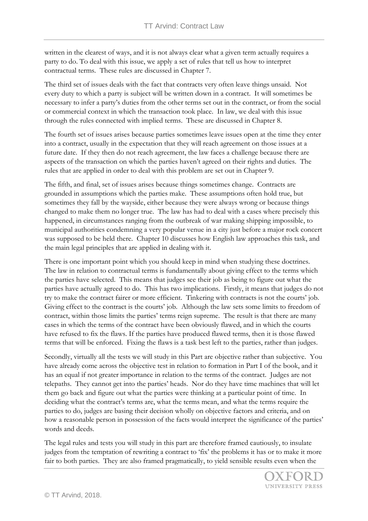written in the clearest of ways, and it is not always clear what a given term actually requires a party to do. To deal with this issue, we apply a set of rules that tell us how to interpret contractual terms. These rules are discussed in Chapter 7.

The third set of issues deals with the fact that contracts very often leave things unsaid. Not every duty to which a party is subject will be written down in a contract. It will sometimes be necessary to infer a party's duties from the other terms set out in the contract, or from the social or commercial context in which the transaction took place. In law, we deal with this issue through the rules connected with implied terms. These are discussed in Chapter 8.

The fourth set of issues arises because parties sometimes leave issues open at the time they enter into a contract, usually in the expectation that they will reach agreement on those issues at a future date. If they then do not reach agreement, the law faces a challenge because there are aspects of the transaction on which the parties haven't agreed on their rights and duties. The rules that are applied in order to deal with this problem are set out in Chapter 9.

The fifth, and final, set of issues arises because things sometimes change. Contracts are grounded in assumptions which the parties make. These assumptions often hold true, but sometimes they fall by the wayside, either because they were always wrong or because things changed to make them no longer true. The law has had to deal with a cases where precisely this happened, in circumstances ranging from the outbreak of war making shipping impossible, to municipal authorities condemning a very popular venue in a city just before a major rock concert was supposed to be held there. Chapter 10 discusses how English law approaches this task, and the main legal principles that are applied in dealing with it.

There is one important point which you should keep in mind when studying these doctrines. The law in relation to contractual terms is fundamentally about giving effect to the terms which the parties have selected. This means that judges see their job as being to figure out what the parties have actually agreed to do. This has two implications. Firstly, it means that judges do not try to make the contract fairer or more efficient. Tinkering with contracts is not the courts' job. Giving effect to the contract is the courts' job. Although the law sets some limits to freedom of contract, within those limits the parties' terms reign supreme. The result is that there are many cases in which the terms of the contract have been obviously flawed, and in which the courts have refused to fix the flaws. If the parties have produced flawed terms, then it is those flawed terms that will be enforced. Fixing the flaws is a task best left to the parties, rather than judges.

Secondly, virtually all the tests we will study in this Part are objective rather than subjective. You have already come across the objective test in relation to formation in Part I of the book, and it has an equal if not greater importance in relation to the terms of the contract. Judges are not telepaths. They cannot get into the parties' heads. Nor do they have time machines that will let them go back and figure out what the parties were thinking at a particular point of time. In deciding what the contract's terms are, what the terms mean, and what the terms require the parties to do, judges are basing their decision wholly on objective factors and criteria, and on how a reasonable person in possession of the facts would interpret the significance of the parties' words and deeds.

The legal rules and tests you will study in this part are therefore framed cautiously, to insulate judges from the temptation of rewriting a contract to 'fix' the problems it has or to make it more fair to both parties. They are also framed pragmatically, to yield sensible results even when the